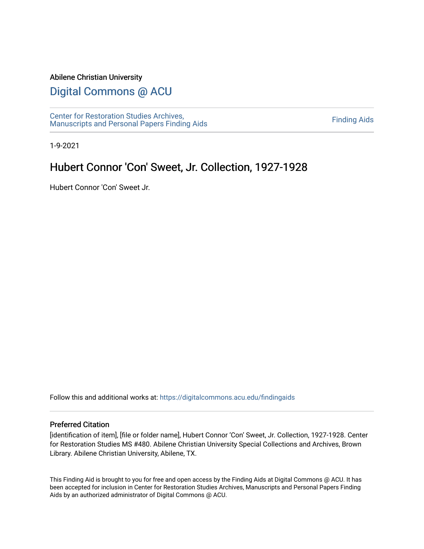#### Abilene Christian University

## [Digital Commons @ ACU](https://digitalcommons.acu.edu/)

[Center for Restoration Studies Archives,](https://digitalcommons.acu.edu/findingaids)  Center for Restoration Studies Archives,<br>[Manuscripts and Personal Papers Finding Aids](https://digitalcommons.acu.edu/findingaids) [Finding Aids](https://digitalcommons.acu.edu/crs_finding_aids) Finding Aids

1-9-2021

# Hubert Connor 'Con' Sweet, Jr. Collection, 1927-1928

Hubert Connor 'Con' Sweet Jr.

Follow this and additional works at: [https://digitalcommons.acu.edu/findingaids](https://digitalcommons.acu.edu/findingaids?utm_source=digitalcommons.acu.edu%2Ffindingaids%2F797&utm_medium=PDF&utm_campaign=PDFCoverPages)

#### Preferred Citation

[identification of item], [file or folder name], Hubert Connor 'Con' Sweet, Jr. Collection, 1927-1928. Center for Restoration Studies MS #480. Abilene Christian University Special Collections and Archives, Brown Library. Abilene Christian University, Abilene, TX.

This Finding Aid is brought to you for free and open access by the Finding Aids at Digital Commons @ ACU. It has been accepted for inclusion in Center for Restoration Studies Archives, Manuscripts and Personal Papers Finding Aids by an authorized administrator of Digital Commons @ ACU.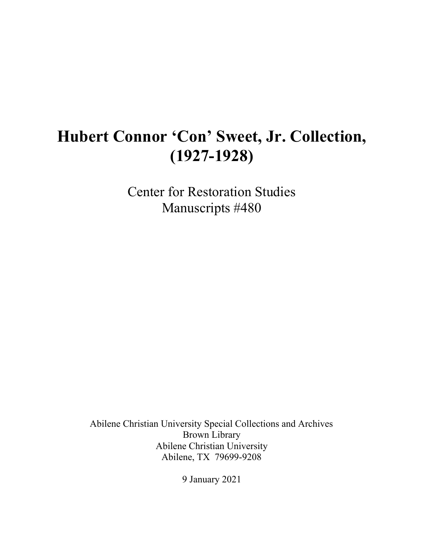# **Hubert Connor 'Con' Sweet, Jr. Collection, (1927-1928)**

Center for Restoration Studies Manuscripts #480

Abilene Christian University Special Collections and Archives Brown Library Abilene Christian University Abilene, TX 79699-9208

9 January 2021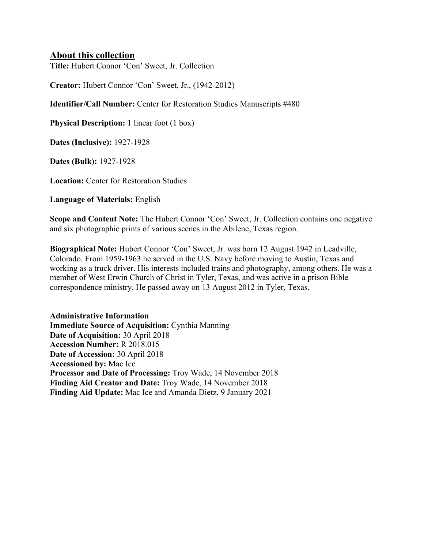## **About this collection**

**Title:** Hubert Connor 'Con' Sweet, Jr. Collection

**Creator:** Hubert Connor 'Con' Sweet, Jr., (1942-2012)

**Identifier/Call Number:** Center for Restoration Studies Manuscripts #480

**Physical Description:** 1 linear foot (1 box)

**Dates (Inclusive):** 1927-1928

**Dates (Bulk):** 1927-1928

**Location:** Center for Restoration Studies

**Language of Materials:** English

**Scope and Content Note:** The Hubert Connor 'Con' Sweet, Jr. Collection contains one negative and six photographic prints of various scenes in the Abilene, Texas region.

**Biographical Note:** Hubert Connor 'Con' Sweet, Jr. was born 12 August 1942 in Leadville, Colorado. From 1959-1963 he served in the U.S. Navy before moving to Austin, Texas and working as a truck driver. His interests included trains and photography, among others. He was a member of West Erwin Church of Christ in Tyler, Texas, and was active in a prison Bible correspondence ministry. He passed away on 13 August 2012 in Tyler, Texas.

**Administrative Information Immediate Source of Acquisition:** Cynthia Manning **Date of Acquisition:** 30 April 2018 **Accession Number:** R 2018.015 **Date of Accession:** 30 April 2018 **Accessioned by:** Mac Ice **Processor and Date of Processing:** Troy Wade, 14 November 2018 **Finding Aid Creator and Date:** Troy Wade, 14 November 2018 **Finding Aid Update:** Mac Ice and Amanda Dietz, 9 January 2021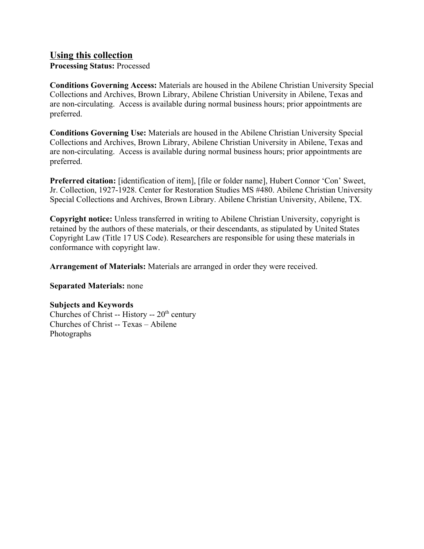## **Using this collection**

**Processing Status:** Processed

**Conditions Governing Access:** Materials are housed in the Abilene Christian University Special Collections and Archives, Brown Library, Abilene Christian University in Abilene, Texas and are non-circulating. Access is available during normal business hours; prior appointments are preferred.

**Conditions Governing Use:** Materials are housed in the Abilene Christian University Special Collections and Archives, Brown Library, Abilene Christian University in Abilene, Texas and are non-circulating. Access is available during normal business hours; prior appointments are preferred.

Preferred citation: [identification of item], [file or folder name], Hubert Connor 'Con' Sweet, Jr. Collection, 1927-1928. Center for Restoration Studies MS #480. Abilene Christian University Special Collections and Archives, Brown Library. Abilene Christian University, Abilene, TX.

**Copyright notice:** Unless transferred in writing to Abilene Christian University, copyright is retained by the authors of these materials, or their descendants, as stipulated by United States Copyright Law (Title 17 US Code). Researchers are responsible for using these materials in conformance with copyright law.

**Arrangement of Materials:** Materials are arranged in order they were received.

#### **Separated Materials:** none

### **Subjects and Keywords**

Churches of Christ -- History --  $20<sup>th</sup>$  century Churches of Christ -- Texas – Abilene Photographs